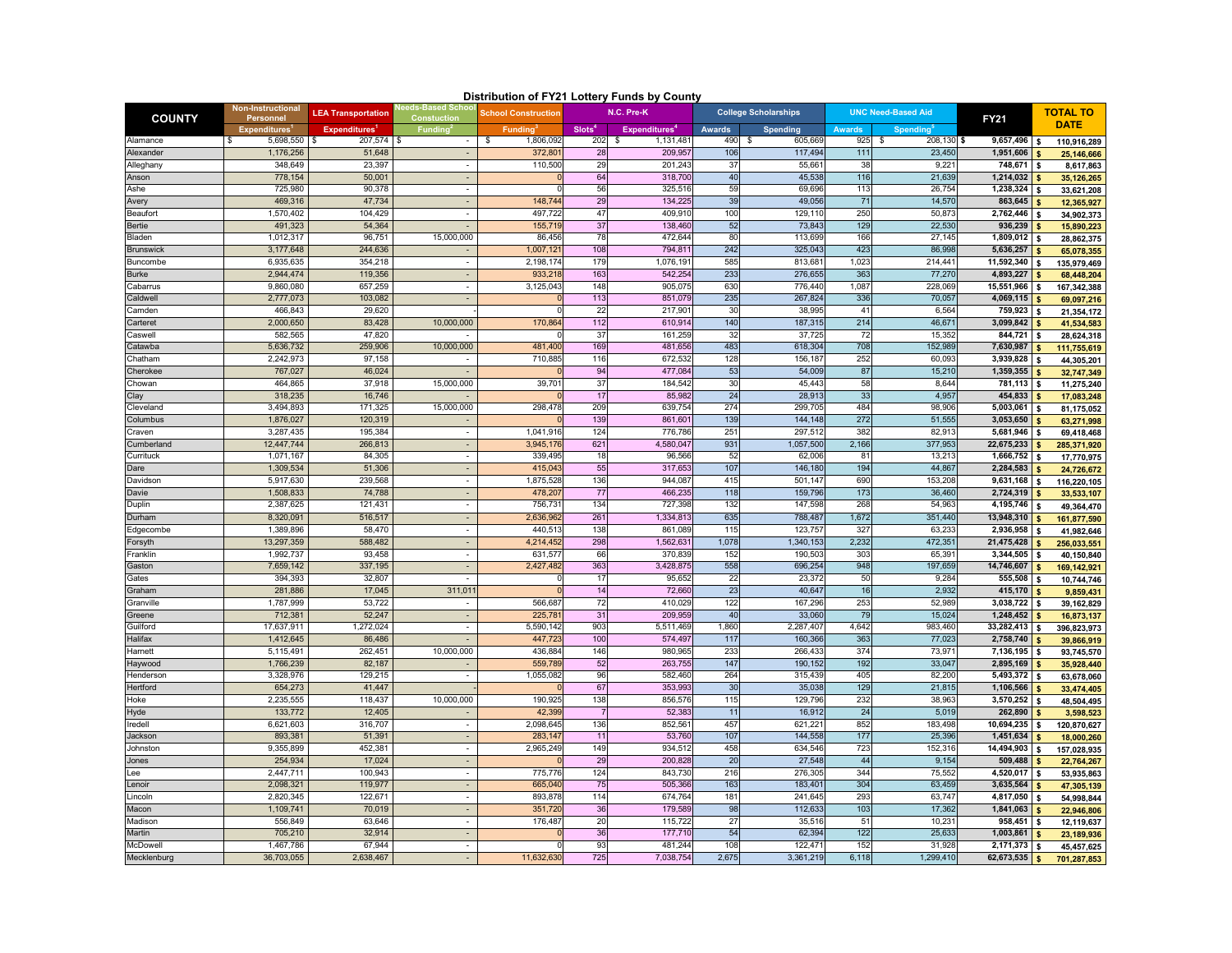| Distribution of FY21 Lottery Funds by County |  |
|----------------------------------------------|--|
|----------------------------------------------|--|

|                    |                                |                           |                                       |                            |                    | Distribution of FY21 Lottery Funds by County |                             |                   |                           |                    |                      |                                |  |
|--------------------|--------------------------------|---------------------------|---------------------------------------|----------------------------|--------------------|----------------------------------------------|-----------------------------|-------------------|---------------------------|--------------------|----------------------|--------------------------------|--|
| <b>COUNTY</b>      | Non-Instructional<br>Personnel | <b>LEA Transportation</b> | eds-Based Schoc<br><b>Constuction</b> | <b>School Construction</b> | N.C. Pre-K         |                                              | <b>College Scholarships</b> |                   | <b>UNC Need-Based Aid</b> |                    | <b>FY21</b>          | <b>TOTAL TO</b><br><b>DATE</b> |  |
|                    | <b>Expenditures</b>            | <b>Expenditures</b>       | <b>Funding</b>                        | <b>Funding</b>             | Slots <sup>4</sup> | <b>Expenditures</b>                          | <b>Awards</b>               | Spending          | <b>Awards</b>             | Spending           |                      |                                |  |
| Alamance           | 5,698,550<br>S.                | 207,574                   | $\overline{\phantom{a}}$              | 1,806,092<br>\$            | 202                | 1,131,481<br>-\$                             | 490                         | 605,669<br>-S     | 925                       | $208,130$ \$<br>S. | 9,657,496            | 110,916,289<br>\$              |  |
| Alexander          | 1,176,256                      | 51,648                    |                                       | 372,80                     | 28                 | 209,95                                       | 106                         | 117,494           | 111                       | 23,450             | 1,951,606            | 25,146,666                     |  |
| Alleghany<br>Anson | 348,649<br>778,154             | 23,397<br>50,001          | $\overline{\phantom{a}}$              | 110,500                    | 29<br>64           | 201,243<br>318,70                            | 37<br>40                    | 55,66<br>45,538   | 38<br>116                 | 9,22<br>21,63      | 748,671<br>1,214,032 | 8,617,863                      |  |
| Ashe               | 725,980                        | 90,378                    | $\sim$                                |                            | 56                 | 325,51                                       | 59                          | 69,696            | 113                       | 26,754             | 1,238,324            | 35,126,265                     |  |
|                    | 469,316                        | 47,734                    | $\overline{\phantom{a}}$              | 148,744                    | 29                 | 134,22                                       | 39                          | 49,056            |                           | 14,570             | 863,645              | 33,621,208                     |  |
| Avery<br>Beaufor   | 1,570,402                      | 104,429                   | $\overline{\phantom{a}}$              | 497,722                    | 47                 | 409,91                                       | 100                         | 129,11            | 71<br>250                 | 50,87              | 2,762,446            | 12,365,927                     |  |
| Bertie             | 491.323                        | 54,364                    |                                       | 155,71                     | 37                 | 138,460                                      | 52                          | 73,843            | 129                       | 22.53              | 936,239              | 34,902,373<br>15,890,223       |  |
| Bladen             | 1,012,317                      | 96,751                    | 15,000,000                            | 86,456                     | 78                 | 472,644                                      | 80                          | 113,699           | 166                       | 27,145             | 1,809,012            | 28,862,375                     |  |
| <b>Brunswick</b>   | 3,177,648                      | 244,636                   |                                       | 1,007,12                   | 108                | 794,81                                       | 242                         | 325,043           | 423                       | 86.998             | 5,636,257            | 65,078,355                     |  |
| Buncombe           | 6,935,635                      | 354.218                   |                                       | 2,198,174                  | 179                | 1,076,19                                     | 585                         | 813,681           | 1,02                      | 214,44             | 11,592,340           | 135,979,469                    |  |
| Burke              | 2,944,474                      | 119,356                   |                                       | 933,21                     | 163                | 542,254                                      | 233                         | 276,655           | 363                       | 77,270             | 4,893,227            | 68,448,204                     |  |
| Cabarrus           | 9,860,080                      | 657,259                   | $\overline{\phantom{a}}$              | 3,125,043                  | 148                | 905,07                                       | 630                         | 776,440           | 1,087                     | 228,069            | 15,551,966           | 167,342,388                    |  |
| Caldwell           | 2,777,073                      | 103,082                   |                                       |                            | 113                | 851,079                                      | 235                         | 267,824           | 336                       | 70,05              | 4,069,115            | 69,097,216                     |  |
| amden:             | 466,843                        | 29,620                    |                                       |                            | $\overline{22}$    | 217,90                                       | 30                          | 38,995            | 41                        | 6,56               | 759,923              | 21,354,172                     |  |
| Carteret           | 2,000,650                      | 83,428                    | 10,000,000                            | 170,864                    | 112                | 610,914                                      | 140                         | 187,315           | 214                       | 46,67              | 3,099,842            | 41,534,583                     |  |
| caswell            | 582,565                        | 47,820                    |                                       |                            | 37                 | 161,259                                      | 32                          | 37,725            | 72                        | 15,35              | 844,721              | 28,624,318                     |  |
| Catawba            | 5,636,732                      | 259,906                   | 10,000,000                            | 481,400                    | 169                | 481,656                                      | 483                         | 618,304           | 708                       | 152,98             | 7,630,987            | 111,755,619                    |  |
| Chatham            | 2,242,973                      | 97,158                    |                                       | 710,88                     | 116                | 672,532                                      | 128                         | 156,187           | 252                       | 60,09              | 3,939,828            | 44,305,201                     |  |
| Cherokee           | 767,027                        | 46.024                    |                                       |                            | 94                 | 477,084                                      | 53                          | 54,009            | 87                        | 15,210             | 1,359,355            | 32,747,349                     |  |
| :howan             | 464.865                        | 37,918                    | 15,000,000                            | 39,70                      | 37                 | 184.542                                      | 30                          | 45.443            | 58                        | 8,644              | 781,113              | 11,275,240                     |  |
| Clay               | 318,235                        | 16,746                    |                                       |                            | 17                 | 85,98                                        | 24                          | 28,913            | 33                        | 4,957              | 454,833              | 17,083,248                     |  |
| Cleveland          | 3,494,893                      | 171,325                   | 15,000,000                            | 298,478                    | 209                | 639,754                                      | 274                         | 299,705           | 484                       | 98,90              | 5,003,061            | 81,175,052                     |  |
| Columbus           | 1,876,027                      | 120,319                   |                                       |                            | 139                | 861,60                                       | 139                         | 144,148           | 272                       | 51,555             | 3,053,650            | 63,271,998                     |  |
| Craven             | 3,287,435                      | 195,384                   | $\overline{\phantom{a}}$              | 1,041,91                   | 124                | 776,78                                       | 251                         | 297,51            | 382                       | 82,91              | 5,681,946            | 69,418,468                     |  |
| Cumberland         | 12,447,744                     | 266,813                   |                                       | 3,945,17                   | 621                | 4,580,04                                     | 931                         | 1,057,500         | 2,166                     | 377,953            | 22,675,233           | 285,371,920                    |  |
| Currituck          | 1,071,167                      | 84,305                    |                                       | 339,49                     | 18                 | 96,56                                        | 52                          | 62,006            | 81                        | 13,21              | 1,666,752            | 17,770,975                     |  |
| Dare               | 1,309,534                      | 51,306                    | $\sim$                                | 415,043                    | 55                 | 317,65                                       | 107                         | 146,180           | 194                       | 44,86              | 2,284,583            | 24,726,672                     |  |
| Davidson           | 5,917,630                      | 239,568                   | $\overline{\phantom{a}}$              | 1,875,528                  | 136                | 944.08                                       | 415                         | 501,147           | 690                       | 153,208            | 9,631,168            | 116,220,105                    |  |
| Davie              | 1,508,833                      | 74,788                    | $\sim$                                | 478,20                     | 77                 | 466,23                                       | 118                         | 159,796           | 173                       | 36,460             | 2,724,319            | 33,533,107                     |  |
| Duplin             | 2,387,625                      | 121,431                   | $\overline{\phantom{a}}$              | 756,73                     | 134                | 727,39                                       | 132                         | 147,598           | 268                       | 54,96              | 4,195,746            | 49,364,470                     |  |
| Durham             | 8,320,091                      | 516,517                   |                                       | 2,636,96                   | 26 <sup>1</sup>    | 1,334,81                                     | 635                         | 788,487           | 1,672                     | 351,440            | 13,948,310           | 161,877,590                    |  |
| Edgecombe          | 1,389,896                      | 58,470                    | $\overline{\phantom{a}}$              | 440,51                     | 138                | 861,08                                       | 115                         | 123,75            | 327                       | 63,23              | 2,936,958            | 41,982,646                     |  |
| Forsyth            | 13,297,359                     | 588,482                   | ÷.                                    | 4,214,452                  | 298                | 1,562,63                                     | 1,078                       | 1,340,153         | 2,232                     | 472,35             | 21,475,428           | 256,033,551                    |  |
| Franklin           | 1,992,737                      | 93,458                    | $\overline{\phantom{a}}$              | 631,57                     | 66                 | 370,83                                       | 152                         | 190,503           | 303                       | 65,39              | 3,344,505            | 40,150,840                     |  |
| Gaston             | 7,659,142                      | 337,195                   | $\sim$                                | 2,427,482                  | 363                | 3,428,87                                     | 558                         | 696,254           | 948                       | 197,659            | 14,746,607           | 169,142,921                    |  |
| Gates              | 394,393                        | 32,807                    |                                       |                            | 17                 | 95,652                                       | 22                          | 23,372            | 50                        | 9,284              | 555,508              | 10,744,746                     |  |
| Graham             | 281,886                        | 17,045                    | 311,01                                |                            | 14                 | 72,660                                       | 23                          | 40,647            | 16                        | 2,932              | 415,170              | 9,859,431                      |  |
| Granville          | 1,787,999                      | 53,722                    | $\overline{\phantom{a}}$              | 566,687                    | 72                 | 410.029                                      | 122                         | 167.296           | 253                       | 52.989             | 3,038,722            | 39,162,829                     |  |
| Greene             | 712,381                        | 52,247                    | $\overline{\phantom{a}}$              | 225,78                     | 31                 | 209,95                                       | 40                          | 33,060            | 79                        | 15,024             | 1,248,452            | 16,873,137                     |  |
| Guilford           | 17,637,911                     | 1,272,024                 | $\overline{\phantom{a}}$              | 5,590,142                  | 903                | 5,511,469                                    | 1,860                       | 2,287,407         | 4,642                     | 983,460            | 33,282,413           | 396,823,973                    |  |
| Halifax            | 1,412,645                      | 86,486                    | $\overline{\phantom{a}}$              | 447,72                     | 100                | 574,49                                       | 117                         | 160,366           | 363                       | 77,023             | 2,758,740            | 39,866,919                     |  |
| Harnett            | 5,115,491                      | 262,451                   | 10,000,000                            | 436,884                    | 146                | 980,96                                       | 233                         | 266,43            | 374                       | 73,97              | 7,136,195            | 93,745,570                     |  |
| Haywood            | 1,766,239                      | 82,187                    |                                       | 559,789                    | 52                 | 263,755                                      | 147                         | 190,152           | 192                       | 33,047             | 2,895,169            | 35,928,440                     |  |
| Henderson          | 3,328,976                      | 129,215                   | $\overline{\phantom{a}}$              | 1,055,082                  | 96                 | 582,460                                      | 264                         | 315,439           | 405                       | 82,200             | 5,493,372            | 63,678,060                     |  |
| Hertford           | 654,273                        | 41.447                    |                                       |                            | 67                 | 353.99                                       | 30                          | 35,038            | 129<br>232                | 21,815             | 1,106,566            | 33,474,405                     |  |
| Hoke               | 2,235,555<br>133,772           | 118,437<br>12,405         | 10,000,000                            | 190,92<br>42,39            | 138                | 856,576<br>52,38                             | 115<br>11                   | 129,796<br>16,912 | 24                        | 38,963<br>5,019    | 3,570,252<br>262,890 | 48,504,495                     |  |
| Hyde<br>Iredell    | 6,621,603                      | 316,707                   |                                       | 2,098,64                   | 136                | 852,56                                       | 457                         | 621,22            | 852                       | 183,49             | 10,694,235           | 3,598,523                      |  |
| Jackson            | 893,381                        | 51,391                    |                                       | 283,147                    | 11                 | 53,760                                       | 107                         | 144,558           | 177                       | 25,396             | 1,451,634            | 120,870,627                    |  |
| Johnston           | 9,355,899                      | 452,381                   | $\overline{\phantom{a}}$              | 2,965,249                  | 149                | 934,512                                      | 458                         | 634,546           | 723                       | 152,31             | 14,494,903           | 18,000,260                     |  |
| Jones              | 254,934                        | 17,024                    |                                       |                            | 29                 | 200,828                                      | 20                          | 27,548            | 44                        | 9,154              | 509,488              | 157,028,935                    |  |
| ee                 | 2,447,711                      | 100,943                   |                                       | 775,776                    | 124                | 843,73                                       | 216                         | 276,305           | 344                       | 75,552             | 4,520,017            | 22,764,267<br>53,935,863       |  |
| Lenoir             | 2,098,321                      | 119,977                   | $\sim$                                | 665,04                     | 75                 | 505,366                                      | 163                         | 183,40            | 304                       | 63,459             | 3,635,564            | 47,305,139                     |  |
| Lincoln            | 2,820,345                      | 122.671                   | $\overline{\phantom{a}}$              | 893.87                     | 114                | 674,76                                       | 18 <sup>1</sup>             | 241,645           | 293                       | 63,74              | 4,817,050            | 54,998,844                     |  |
| Macon              | 1,109,741                      | 70,019                    |                                       | 351,720                    | 36                 | 179.58                                       | 98                          | 112,633           | 103                       | 17,362             | 1,841,063            | 22,946,806                     |  |
| Madison            | 556,849                        | 63,646                    | $\overline{\phantom{a}}$              | 176,487                    | 20                 | 115,72                                       | 27                          | 35,51             | 51                        | 10,23              | 958,451              | 12,119,637                     |  |
| Martin             | 705,210                        | 32.914                    | ÷.                                    |                            | 36                 | 177,710                                      | 54                          | 62.394            | 122                       | 25.633             | 1,003,861            | 23,189,936                     |  |
| McDowell           | 1,467,786                      | 67,944                    |                                       |                            | 93                 | 481,24                                       | 108                         | 122,47'           | 152                       | 31,92              | 2,171,373            | 45,457,625                     |  |
|                    | 36,703,055                     | 2,638,467                 | $\overline{\phantom{a}}$              | 11,632,63                  | 725                | 7,038,754                                    | 2,675                       | 3,361,219         | 6,118                     | 1,299,410          | 62,673,535           | 701,287,853                    |  |